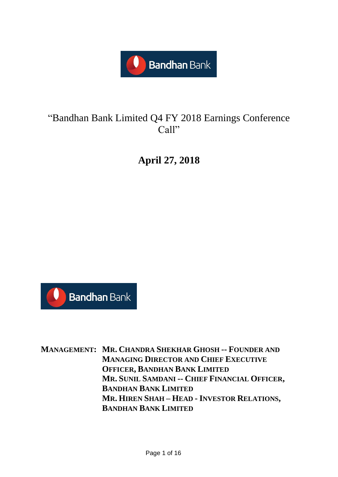

# "Bandhan Bank Limited Q4 FY 2018 Earnings Conference Call"

**April 27, 2018**



**MANAGEMENT: MR. CHANDRA SHEKHAR GHOSH -- FOUNDER AND MANAGING DIRECTOR AND CHIEF EXECUTIVE OFFICER, BANDHAN BANK LIMITED MR. SUNIL SAMDANI -- CHIEF FINANCIAL OFFICER, BANDHAN BANK LIMITED MR. HIREN SHAH – HEAD - INVESTOR RELATIONS, BANDHAN BANK LIMITED**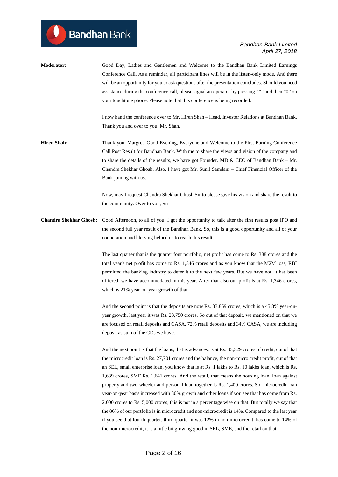| <b>Moderator:</b>  | Good Day, Ladies and Gentlemen and Welcome to the Bandhan Bank Limited Earnings                                                 |
|--------------------|---------------------------------------------------------------------------------------------------------------------------------|
|                    | Conference Call. As a reminder, all participant lines will be in the listen-only mode. And there                                |
|                    | will be an opportunity for you to ask questions after the presentation concludes. Should you need                               |
|                    | assistance during the conference call, please signal an operator by pressing "*" and then "0" on                                |
|                    | your touchtone phone. Please note that this conference is being recorded.                                                       |
|                    | I now hand the conference over to Mr. Hiren Shah – Head, Investor Relations at Bandhan Bank.                                    |
|                    | Thank you and over to you, Mr. Shah.                                                                                            |
| <b>Hiren Shah:</b> | Thank you, Margret. Good Evening, Everyone and Welcome to the First Earning Conference                                          |
|                    | Call Post Result for Bandhan Bank. With me to share the views and vision of the company and                                     |
|                    | to share the details of the results, we have got Founder, MD & CEO of Bandhan Bank – Mr.                                        |
|                    | Chandra Shekhar Ghosh. Also, I have got Mr. Sunil Samdani – Chief Financial Officer of the                                      |
|                    | Bank joining with us.                                                                                                           |
|                    | Now, may I request Chandra Shekhar Ghosh Sir to please give his vision and share the result to                                  |
|                    | the community. Over to you, Sir.                                                                                                |
|                    | <b>Chandra Shekhar Ghosh:</b> Good Afternoon, to all of you, I got the opportunity to talk after the first results post IPO and |

**Bandhan** Bank

**Chandra Shekhar Ghosh:** Good Afternoon, to all of you. I got the opportunity to talk after the first results post IPO and the second full year result of the Bandhan Bank. So, this is a good opportunity and all of your cooperation and blessing helped us to reach this result.

> The last quarter that is the quarter four portfolio, net profit has come to Rs. 388 crores and the total year's net profit has come to Rs. 1,346 crores and as you know that the M2M loss, RBI permitted the banking industry to defer it to the next few years. But we have not, it has been differed, we have accommodated in this year. After that also our profit is at Rs. 1,346 crores, which is 21% year-on-year growth of that.

> And the second point is that the deposits are now Rs. 33,869 crores, which is a 45.8% year-onyear growth, last year it was Rs. 23,750 crores. So out of that deposit, we mentioned on that we are focused on retail deposits and CASA, 72% retail deposits and 34% CASA, we are including deposit as sum of the CDs we have.

> And the next point is that the loans, that is advances, is at Rs. 33,329 crores of credit, out of that the microcredit loan is Rs. 27,701 crores and the balance, the non-micro credit profit, out of that an SEL, small enterprise loan, you know that is at Rs. 1 lakhs to Rs. 10 lakhs loan, which is Rs. 1,639 crores, SME Rs. 1,641 crores. And the retail, that means the housing loan, loan against property and two-wheeler and personal loan together is Rs. 1,400 crores. So, microcredit loan year-on-year basis increased with 30% growth and other loans if you see that has come from Rs. 2,000 crores to Rs. 5,000 crores, this is not in a percentage wise on that. But totally we say that the 86% of our portfolio is in microcredit and non-microcredit is 14%. Compared to the last year if you see that fourth quarter, third quarter it was 12% in non-microcredit, has come to 14% of the non-microcredit, it is a little bit growing good in SEL, SME, and the retail on that.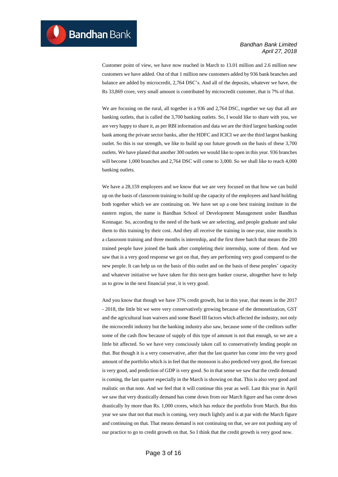Customer point of view, we have now reached in March to 13.01 million and 2.6 million new customers we have added. Out of that 1 million new customers added by 936 bank branches and balance are added by microcredit, 2,764 DSC's. And all of the deposits, whatever we have, the Rs 33,869 crore, very small amount is contributed by microcredit customer, that is 7% of that.

We are focusing on the rural, all together is a 936 and 2,764 DSC, together we say that all are banking outlets, that is called the 3,700 banking outlets. So, I would like to share with you, we are very happy to share it, as per RBI information and data we are the third largest banking outlet bank among the private sector banks, after the HDFC and ICICI we are the third largest banking outlet. So this is our strength, we like to build up our future growth on the basis of these 3,700 outlets. We have planed that another 300 outlets we would like to open in this year. 936 branches will become 1,000 branches and 2,764 DSC will come to 3,000. So we shall like to reach 4,000 banking outlets.

We have a 28,159 employees and we know that we are very focused on that how we can build up on the basis of classroom training to build up the capacity of the employees and hand holding both together which we are continuing on. We have set up a one best training institute in the eastern region, the name is Bandhan School of Development Management under Bandhan Konnagar. So, according to the need of the bank we are selecting, and people graduate and take them to this training by their cost. And they all receive the training in one-year, nine months is a classroom training and three months is internship, and the first three batch that means the 200 trained people have joined the bank after completing their internship, some of them. And we saw that is a very good response we got on that, they are performing very good compared to the new people. It can help us on the basis of this outlet and on the basis of these peoples' capacity and whatever initiative we have taken for this next-gen banker course, altogether have to help us to grow in the next financial year, it is very good.

And you know that though we have 37% credit growth, but in this year, that means in the 2017 - 2018, the little bit we were very conservatively growing because of the demonetization, GST and the agricultural loan waivers and some Basel III factors which affected the industry, not only the microcredit industry but the banking industry also saw, because some of the creditors suffer some of the cash flow because of supply of this type of amount is not that enough, so we are a little bit affected. So we have very consciously taken call to conservatively lending people on that. But though it is a very conservative, after that the last quarter has come into the very good amount of the portfolio which is in feel that the monsoon is also predicted very good, the forecast is very good, and prediction of GDP is very good. So in that sense we saw that the credit demand is coming, the last quarter especially in the March is showing on that. This is also very good and realistic on that note. And we feel that it will continue this year as well. Last this year in April we saw that very drastically demand has come down from our March figure and has come down drastically by more than Rs. 1,000 crores, which has reduce the portfolio from March. But this year we saw that not that much is coming, very much lightly and is at par with the March figure and continuing on that. That means demand is not continuing on that, we are not pushing any of our practice to go to credit growth on that. So I think that the credit growth is very good now.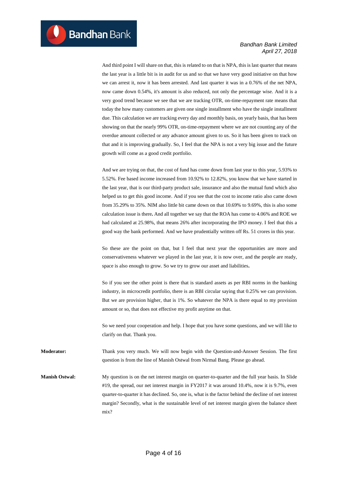And third point I will share on that, this is related to on that is NPA, this is last quarter that means the last year is a little bit is in audit for us and so that we have very good initiative on that how we can arrest it, now it has been arrested. And last quarter it was in a 0.76% of the net NPA, now came down 0.54%, it's amount is also reduced, not only the percentage wise. And it is a very good trend because we see that we are tracking OTR, on-time-repayment rate means that today the how many customers are given one single installment who have the single installment due. This calculation we are tracking every day and monthly basis, on yearly basis, that has been showing on that the nearly 99% OTR, on-time-repayment where we are not counting any of the overdue amount collected or any advance amount given to us. So it has been given to track on that and it is improving gradually. So, I feel that the NPA is not a very big issue and the future growth will come as a good credit portfolio.

And we are trying on that, the cost of fund has come down from last year to this year, 5.93% to 5.52%. Fee based income increased from 10.92% to 12.82%, you know that we have started in the last year, that is our third-party product sale, insurance and also the mutual fund which also helped us to get this good income. And if you see that the cost to income ratio also came down from 35.29% to 35%. NIM also little bit came down on that 10.69% to 9.69%, this is also some calculation issue is there**.** And all together we say that the ROA has come to 4.06% and ROE we had calculated at 25.98%, that means 26% after incorporating the IPO money. I feel that this a good way the bank performed. And we have prudentially written off Rs. 51 crores in this year.

So these are the point on that, but I feel that next year the opportunities are more and conservativeness whatever we played in the last year, it is now over, and the people are ready, space is also enough to grow. So we try to grow our asset and liabilities**.** 

So if you see the other point is there that is standard assets as per RBI norms in the banking industry, in microcredit portfolio, there is an RBI circular saying that 0.25% we can provision. But we are provision higher, that is 1%. So whatever the NPA is there equal to my provision amount or so, that does not effective my profit anytime on that.

So we need your cooperation and help. I hope that you have some questions, and we will like to clarify on that. Thank you.

**Moderator:** Thank you very much. We will now begin with the Question-and-Answer Session. The first question is from the line of Manish Ostwal from Nirmal Bang. Please go ahead.

**Manish Ostwal:** My question is on the net interest margin on quarter-to-quarter and the full year basis. In Slide #19, the spread, our net interest margin in FY2017 it was around 10.4%, now it is 9.7%, even quarter-to-quarter it has declined. So, one is, what is the factor behind the decline of net interest margin? Secondly, what is the sustainable level of net interest margin given the balance sheet mix?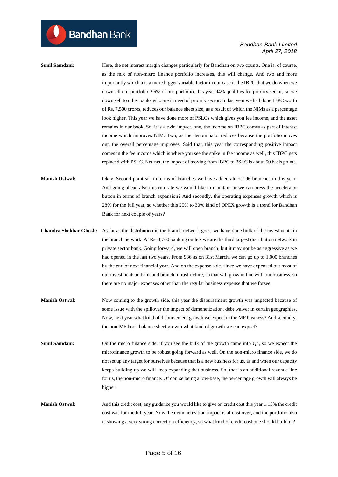**Sunil Samdani:** Here, the net interest margin changes particularly for Bandhan on two counts. One is, of course, as the mix of non-micro finance portfolio increases, this will change. And two and more importantly which a is a more bigger variable factor in our case is the IBPC that we do when we downsell our portfolio. 96% of our portfolio, this year 94% qualifies for priority sector, so we down sell to other banks who are in need of priority sector. In last year we had done IBPC worth of Rs. 7,500 crores, reduces our balance sheet size, as a result of which the NIMs as a percentage look higher. This year we have done more of PSLCs which gives you fee income, and the asset remains in our book. So, it is a twin impact, one, the income on IBPC comes as part of interest income which improves NIM. Two, as the denominator reduces because the portfolio moves out, the overall percentage improves. Said that, this year the corresponding positive impact comes in the fee income which is where you see the spike in fee income as well, this IBPC gets replaced with PSLC. Net-net, the impact of moving from IBPC to PSLC is about 50 basis points.

**Manish Ostwal:** Okay. Second point sir, in terms of branches we have added almost 96 branches in this year. And going ahead also this run rate we would like to maintain or we can press the accelerator button in terms of branch expansion? And secondly, the operating expenses growth which is 28% for the full year, so whether this 25% to 30% kind of OPEX growth is a trend for Bandhan Bank for next couple of years?

- **Chandra Shekhar Ghosh:** As far as the distribution in the branch network goes, we have done bulk of the investments in the branch network. At Rs. 3,700 banking outlets we are the third largest distribution network in private sector bank. Going forward, we will open branch, but it may not be as aggressive as we had opened in the last two years. From 936 as on 31st March, we can go up to 1,000 branches by the end of next financial year. And on the expense side, since we have expensed out most of our investments in bank and branch infrastructure, so that will grow in line with our business, so there are no major expenses other than the regular business expense that we forsee.
- **Manish Ostwal:** Now coming to the growth side, this year the disbursement growth was impacted because of some issue with the spillover the impact of demonetization, debt waiver in certain geographies. Now, next year what kind of disbursement growth we expect in the MF business? And secondly, the non-MF book balance sheet growth what kind of growth we can expect?
- **Sunil Samdani:** On the micro finance side, if you see the bulk of the growth came into Q4, so we expect the microfinance growth to be robust going forward as well. On the non-micro finance side, we do not set up any target for ourselves because that is a new business for us, as and when our capacity keeps building up we will keep expanding that business. So, that is an additional revenue line for us, the non-micro finance. Of course being a low-base, the percentage growth will always be higher.
- **Manish Ostwal:** And this credit cost, any guidance you would like to give on credit cost this year 1.15% the credit cost was for the full year. Now the demonetization impact is almost over, and the portfolio also is showing a very strong correction efficiency, so what kind of credit cost one should build in?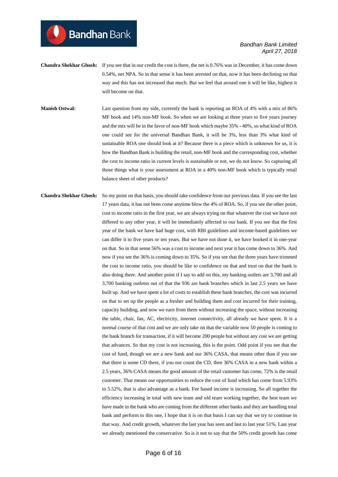**Chandra Shekhar Ghosh:** If you see that in our credit the cost is there, the net is 0.76% was in December, it has come down 0.54%, net NPA. So in that sense it has been arrested on that, now it has been declining on that way and this has not increased that much. But we feel that around one it will be like, highest it will become on that.

**Bandhan** Bank

- **Manish Ostwal:** Last question from my side, currently the bank is reporting an ROA of 4% with a mix of 86% MF book and 14% non-MF book. So when we are looking at three years to five years journey and the mix will be in the favor of non-MF book which maybe 35% - 40%, so what kind of ROA one could see for the universal Bandhan Bank, it will be 3%, less than 3% what kind of sustainable ROA one should look at it? Because there is a piece which is unknown for us, it is how the Bandhan Bank is building the retail, non-MF book and the corresponding cost, whether the cost to income ratio in current levels is sustainable or not, we do not know. So capturing all those things what is your assessment at ROA in a 40% non-MF book which is typically retail balance sheet of other products?
- **Chandra Shekhar Ghosh:** So my point on that basis, you should take confidence from our previous data. If you see the last 17 years data, it has not been come anytime blow the 4% of ROA. So, if you see the other point, cost to income ratio in the first year, we are always trying on that whatever the cost we have not differed to any other year, it will be immediately affected to our bank. If you see that the first year of the bank we have had huge cost, with RBI guidelines and income-based guidelines we can differ it to five years or ten years. But we have not done it, we have booked it in one-year on that. So in that sense 56% was a cost to income and next year it has come down to 36%. And now if you see the 36% is coming down to 35%. So if you see that the three years have trimmed the cost to income ratio, you should be like to confidence on that and trust on that the bank is also doing there. And another point if I say to add on this, my banking outlets are 3,700 and all 3,700 banking outletss out of that the 936 are bank branches which in last 2.5 years we have built up. And we have spent a lot of costs to establish these bank branches, the cost was incurred on that to set up the people as a fresher and building them and cost incurred for their training, capacity building, and now we earn from them without increasing the space, without increasing the table, chair, fan, AC, electricity, internet connectivity, all already we have spent. It is a normal course of that cost and we are only take on that the variable now 50 people is coming to the bank branch for transaction, if it will become 200 people but without any cost we are getting that advances. So that my cost is not increasing, this is the point. Odd point if you see that the cost of fund, though we are a new bank and our 36% CASA, that means other than if you see that there is some CD there, if you not count the CD, then 36% CASA in a new bank within a 2.5 years, 36% CASA means the good amount of the retail customer has come, 72% is the retail customer. That means our opportunities to reduce the cost of fund which has come from 5.93% to 5.52%, that is also advantage as a bank. Fee based income is increasing. So all together the efficiency increasing in total with new team and old team working together, the best team we have made in the bank who are coming from the different other banks and they are handling total bank and perform to this one, I hope that it is on that basis I can say that we try to continue in that way. And credit growth, whatever the last year has seen and last to last year 51%. Last year we already mentioned the conservative. So is it not to say that the 50% credit growth has come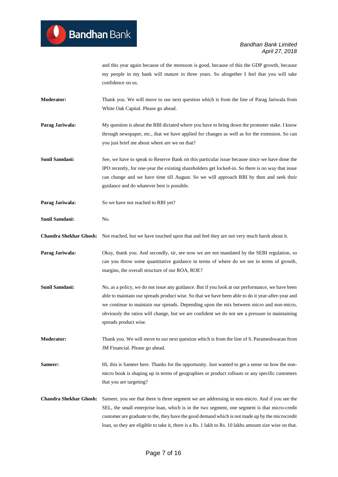and this year again because of the monsoon is good, because of this the GDP growth, because my people in my bank will mature in three years. So altogether I feel that you will take confidence on us.

- **Moderator:** Thank you. We will move to our next question which is from the line of Parag Jariwala from White Oak Capital. Please go ahead.
- **Parag Jariwala:** My question is about the RBI dictated where you have to bring down the promoter stake. I know through newspaper, etc., that we have applied for changes as well as for the extension. So can you just brief me about where are we on that?
- **Sunil Samdani:** See, we have to speak to Reserve Bank on this particular issue because since we have done the IPO recently, for one-year the existing shareholders get locked-in. So there is no way that issue can change and we have time till August. So we will approach RBI by then and seek their guidance and do whatever best is possible.
- **Parag Jariwala:** So we have not reached to RBI yet?
- **Sunil Samdani:** No.
- **Chandra Shekhar Ghosh:** Not reached, but we have touched upon that and feel they are not very much harsh about it.
- **Parag Jariwala:** Okay, thank you. And secondly, sir, see now we are not mandated by the SEBI regulation, so can you throw some quantitative guidance in terms of where do we see in terms of growth, margins, the overall structure of our ROA, ROE?
- **Sunil Samdani:** No, as a policy, we do not issue any guidance. But if you look at our performance, we have been able to maintain our spreads product wise. So that we have been able to do it year-after-year and we continue to maintain our spreads. Depending upon the mix between micro and non-micro, obviously the ratios will change, but we are confident we do not see a pressure in maintaining spreads product wise.
- **Moderator:** Thank you. We will move to our next question which is from the line of S. Parameshwaran from JM Financial. Please go ahead.
- **Sameer:** Hi, this is Sameer here. Thanks for the opportunity. Just wanted to get a sense on how the nonmicro book is shaping up in terms of geographies or product rollouts or any specific customers that you are targeting?
- **Chandra Shekhar Ghosh:** Sameer, you see that there is three segment we are addressing in non-micro. And if you see the SEL, the small enterprise loan, which is in the two segment, one segment is that micro-credit customer are graduate to the, they have the good demand which is not made up by the microcredit loan, so they are eligible to take it, there is a Rs. 1 lakh to Rs. 10 lakhs amount size wise on that.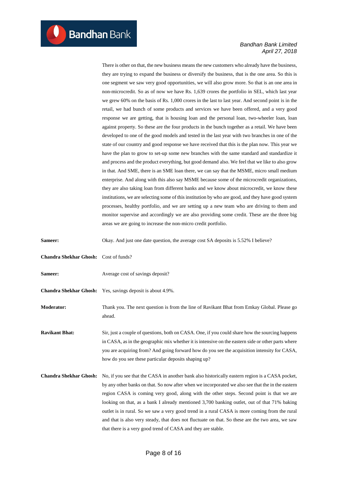There is other on that, the new business means the new customers who already have the business, they are trying to expand the business or diversify the business, that is the one area. So this is one segment we saw very good opportunities, we will also grow more. So that is an one area in non-microcredit. So as of now we have Rs. 1,639 crores the portfolio in SEL, which last year we grew 60% on the basis of Rs. 1,000 crores in the last to last year. And second point is in the retail, we had bunch of some products and services we have been offered, and a very good response we are getting, that is housing loan and the personal loan, two-wheeler loan, loan against property. So these are the four products in the bunch together as a retail. We have been developed to one of the good models and tested in the last year with two branches in one of the state of our country and good response we have received that this is the plan now. This year we have the plan to grow to set-up some new branches with the same standard and standardize it and process and the product everything, but good demand also. We feel that we like to also grow in that. And SME, there is an SME loan there, we can say that the MSME, micro small medium enterprise. And along with this also say MSME because some of the microcredit organizations, they are also taking loan from different banks and we know about microcredit, we know these institutions, we are selecting some of this institution by who are good, and they have good system processes, healthy portfolio, and we are setting up a new team who are driving to them and monitor supervise and accordingly we are also providing some credit. These are the three big areas we are going to increase the non-micro credit portfolio.

| Sameer:                               | Okay. And just one date question, the average cost SA deposits is 5.52% I believe?                                                                                                                                                                                                                                                                                                                                                                                                                                                                                                                                                                                   |
|---------------------------------------|----------------------------------------------------------------------------------------------------------------------------------------------------------------------------------------------------------------------------------------------------------------------------------------------------------------------------------------------------------------------------------------------------------------------------------------------------------------------------------------------------------------------------------------------------------------------------------------------------------------------------------------------------------------------|
| Chandra Shekhar Ghosh: Cost of funds? |                                                                                                                                                                                                                                                                                                                                                                                                                                                                                                                                                                                                                                                                      |
| Sameer:                               | Average cost of savings deposit?                                                                                                                                                                                                                                                                                                                                                                                                                                                                                                                                                                                                                                     |
|                                       | <b>Chandra Shekhar Ghosh:</b> Yes, savings deposit is about 4.9%.                                                                                                                                                                                                                                                                                                                                                                                                                                                                                                                                                                                                    |
| <b>Moderator:</b>                     | Thank you. The next question is from the line of Ravikant Bhat from Emkay Global. Please go<br>ahead.                                                                                                                                                                                                                                                                                                                                                                                                                                                                                                                                                                |
| <b>Ravikant Bhat:</b>                 | Sir, just a couple of questions, both on CASA. One, if you could share how the sourcing happens<br>in CASA, as in the geographic mix whether it is intensive on the eastern side or other parts where<br>you are acquiring from? And going forward how do you see the acquisition intensity for CASA,<br>how do you see these particular deposits shaping up?                                                                                                                                                                                                                                                                                                        |
| <b>Chandra Shekhar Ghosh:</b>         | No, if you see that the CASA in another bank also historically eastern region is a CASA pocket,<br>by any other banks on that. So now after when we incorporated we also see that the in the eastern<br>region CASA is coming very good, along with the other steps. Second point is that we are<br>looking on that, as a bank I already mentioned 3,700 banking outlet, out of that 71% baking<br>outlet is in rural. So we saw a very good trend in a rural CASA is more coming from the rural<br>and that is also very steady, that does not fluctuate on that. So these are the two area, we saw<br>that there is a very good trend of CASA and they are stable. |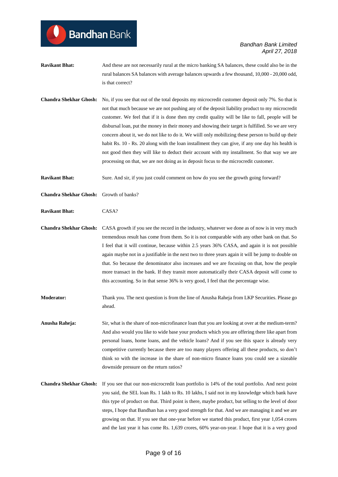- **Ravikant Bhat:** And these are not necessarily rural at the micro banking SA balances, these could also be in the rural balances SA balances with average balances upwards a few thousand, 10,000 - 20,000 odd, is that correct?
- **Chandra Shekhar Ghosh:** No, if you see that out of the total deposits my microcredit customer deposit only 7%. So that is not that much because we are not pushing any of the deposit liability product to my microcredit customer. We feel that if it is done then my credit quality will be like to fall, people will be disbursal loan, put the money in their money and showing their target is fulfilled. So we are very concern about it, we do not like to do it. We wiill only mobilizing these person to build up their habit Rs. 10 - Rs. 20 along with the loan installment they can give, if any one day his health is not good then they will like to deduct their account with my installment. So that way we are processing on that, we are not doing as in deposit focus to the microcredit customer.

**Ravikant Bhat:** Sure. And sir, if you just could comment on how do you see the growth going forward?

**Chandra Shekhar Ghosh:** Growth of banks?

**Bandhan** Bank

**Ravikant Bhat:** CASA?

**Chandra Shekhar Ghosh:** CASA growth if you see the record in the industry, whatever we done as of now is in very much tremendous result has come from them. So it is not comparable with any other bank on that. So I feel that it will continue, because within 2.5 years 36% CASA, and again it is not possible again maybe not in a justifiable in the next two to three years again it will be jump to double on that. So because the denominator also increases and we are focusing on that, how the people more transact in the bank. If they transit more automatically their CASA deposit will come to this accounting. So in that sense 36% is very good, I feel that the percentage wise.

**Moderator:** Thank you. The next question is from the line of Anusha Raheja from LKP Securities. Please go ahead.

**Anusha Raheja:** Sir, what is the share of non-microfinance loan that you are looking at over at the medium-term? And also would you like to wide base your products which you are offering there like apart from personal loans, home loans, and the vehicle loans? And if you see this space is already very competitive currently because there are too many players offering all these products, so don't think so with the increase in the share of non-micro finance loans you could see a sizeable downside pressure on the return ratios?

**Chandra Shekhar Ghosh:** If you see that our non-microcredit loan portfolio is 14% of the total portfolio. And next point you said, the SEL loan Rs. 1 lakh to Rs. 10 lakhs, I said not in my knowledge which bank have this type of product on that. Third point is there, maybe product, but selling to the level of door steps, I hope that Bandhan has a very good strength for that. And we are managing it and we are growing on that. If you see that one-year before we started this product, first year 1,054 crores and the last year it has come Rs. 1,639 crores, 60% year-on-year. I hope that it is a very good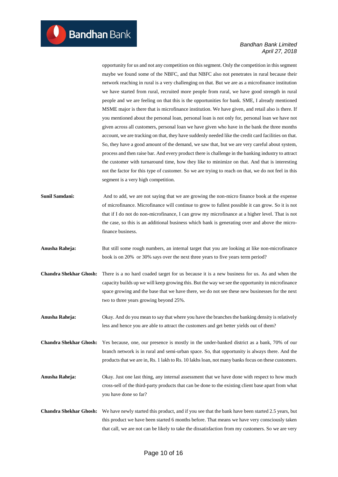opportunity for us and not any competition on this segment. Only the competition in this segment maybe we found some of the NBFC, and that NBFC also not penetrates in rural because their network reaching in rural is a very challenging on that. But we are as a microfinance institution we have started from rural, recruited more people from rural, we have good strength in rural people and we are feeling on that this is the opportunities for bank. SME, I already mentioned MSME major is there that is microfinance institution. We have given, and retail also is there. If you mentioned about the personal loan, personal loan is not only for, personal loan we have not given across all customers, personal loan we have given who have in the bank the three months account, we are tracking on that, they have suddenly needed like the credit card facilities on that. So, they have a good amount of the demand, we saw that, but we are very careful about system, process and then raise bar. And every product there is challenge in the banking industry to attract the customer with turnaround time, how they like to minimize on that. And that is interesting not the factor for this type of customer. So we are trying to reach on that, we do not feel in this segment is a very high competition.

**Sunil Samdani:** And to add, we are not saying that we are growing the non-micro finance book at the expense of microfinance. Microfinance will continue to grow to fullest possible it can grow. So it is not that if I do not do non-microfinance, I can grow my microfinance at a higher level. That is not the case, so this is an additional business which bank is generating over and above the microfinance business.

- **Anusha Raheja:** But still some rough numbers, an internal target that you are looking at like non-microfinance book is on 20% or 30% says over the next three years to five years term period?
- **Chandra Shekhar Ghosh:** There is a no hard coaded target for us because it is a new business for us. As and when the capacity builds up we will keep growing this. But the way we see the opportunity in microfinance space growing and the base that we have there, we do not see these new businesses for the next two to three years growing beyond 25%.
- **Anusha Raheja:** Okay. And do you mean to say that where you have the branches the banking density is relatively less and hence you are able to attract the customers and get better yields out of them?

**Chandra Shekhar Ghosh:** Yes because, one, our presence is mostly in the under-banked district as a bank, 70% of our branch network is in rural and semi-urban space. So, that opportunity is always there. And the products that we are in, Rs. 1 lakh to Rs. 10 lakhs loan, not many banks focus on these customers.

- **Anusha Raheja:** Okay. Just one last thing, any internal assessment that we have done with respect to how much cross-sell of the third-party products that can be done to the existing client base apart from what you have done so far?
- **Chandra Shekhar Ghosh:** We have newly started this product, and if you see that the bank have been started 2.5 years, but this product we have been started 6 months before. That means we have very consciously taken that call, we are not can be likely to take the dissatisfaction from my customers. So we are very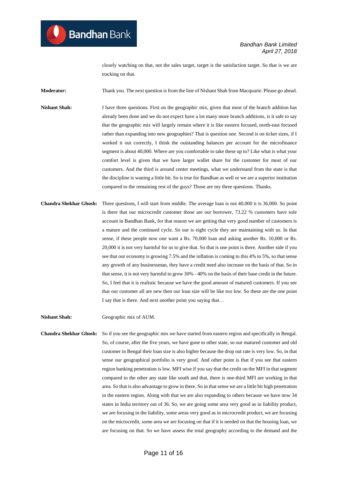closely watching on that, not the sales target, target is the satisfaction target. So that is we are tracking on that.

**Moderator:** Thank you. The next question is from the line of Nishant Shah from Macquarie. Please go ahead.

- **Nishant Shah:** I have three questions. First on the geographic mix, given that most of the branch addition has already been done and we do not expect have a lot many more branch additions, is it safe to say that the geographic mix will largely remain where it is like eastern focused, north-east focused rather than expanding into new geographies? That is question one. Second is on ticket sizes, if I worked it out correctly, I think the outstanding balances per account for the microfinance segment is about 40,000. Where are you comfortable to take these up to? Like what is what your comfort level is given that we have larger wallet share for the customer for most of our customers. And the third is around center meetings, what we understand from the state is that the discipline is waning a little bit. So is true for Bandhan as well or we are a superior institution compared to the remaining rest of the guys? Those are my three questions. Thanks.
- **Chandra Shekhar Ghosh:** Three questions, I will start from middle. The average loan is not 40,000 it is 36,000. So point is there that our microcredit customer those are our borrower, 73.22 % customers have sole account in Bandhan Bank, for that reason we are getting that very good number of customers is a mature and the continued cycle. So our is eight cycle they are maintaining with us. In that sense, if these people now one want a Rs. 70,000 loan and asking another Rs. 10,000 or Rs. 20,000 it is not very harmful for us to give that. So that is one point is there. Another side if you see that our economy is growing 7.5% and the inflation is coming to this 4% to 5%, so that sense any growth of any businessman, they have a credit need also increase on the basis of that. So in that sense, it is not very harmful to grow 30% - 40% on the basis of their base credit in the future. So, I feel that it is realistic because we have the good amount of matured customers. If you see that our customer all are new then our loan size will be like too low. So these are the one point I say that is there. And next another point you saying that…

**Nishant Shah:** Geographic mix of AUM.

**Chandra Shekhar Ghosh:** So if you see the geographic mix we have started from eastern region and specifically in Bengal. So, of course, after the five years, we have gone to other state, so our matured customer and old customer in Bengal their loan size is also higher because the drop out rate is very low. So, in that sense our geographical portfolio is very good. And other point is that if you see that eastern region banking penetration is low. MFI wise if you say that the credit on the MFI in that segment compared to the other any state like south and that, there is one-third MFI are working in that area. So that is also advantage to grow in there. So in that sense we are a little bit high penetration in the eastern region. Along with that we are also expanding to others because we have now 34 states in India territory out of 36. So, we are going some area very good as in liability product, we are focusing in the liability, some areas very good as in microcredit product, we are focusing on the microcredit, some area we are focusing on that if it is needed on that the housing loan, we are focusing on that. So we have assess the total geography according to the demand and the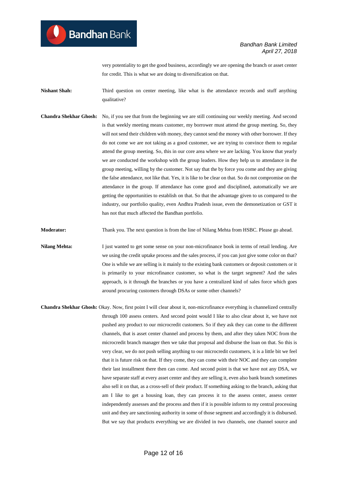very potentiality to get the good business, accordingly we are opening the branch or asset center for credit. This is what we are doing to diversification on that.

**Nishant Shah:** Third question on center meeting, like what is the attendance records and stuff anything qualitative?

**Chandra Shekhar Ghosh:** No, if you see that from the beginning we are still continuing our weekly meeting. And second is that weekly meeting means customer, my borrower must attend the group meeting. So, they will not send their children with money, they cannot send the money with other borrower. If they do not come we are not taking as a good customer, we are trying to convince them to regular attend the group meeting. So, this in our core area where we are lacking. You know that yearly we are conducted the workshop with the group leaders. How they help us to attendance in the group meeting, willing by the customer. Not say that the by force you come and they are giving the false attendance, not like that. Yes, it is like to be clear on that. So do not compromise on the attendance in the group. If attendance has come good and disciplined, automatically we are getting the opportunities to establish on that. So that the advantage given to us compared to the industry, our portfolio quality, even Andhra Pradesh issue, even the demonetization or GST it has not that much affected the Bandhan portfolio.

**Moderator:** Thank you. The next question is from the line of Nilang Mehta from HSBC. Please go ahead.

**Nilang Mehta:** I just wanted to get some sense on your non-microfinance book in terms of retail lending. Are we using the credit uptake process and the sales process, if you can just give some color on that? One is while we are selling is it mainly to the existing bank customers or deposit customers or it is primarily to your microfinance customer, so what is the target segment? And the sales approach, is it through the branches or you have a centralized kind of sales force which goes around procuring customers through DSAs or some other channels?

**Chandra Shekhar Ghosh:** Okay. Now, first point I will clear about it, non-microfinance everything is channelized centrally through 100 assess centers. And second point would I like to also clear about it, we have not pushed any product to our microcredit customers. So if they ask they can come to the different channels, that is asset center channel and process by them, and after they taken NOC from the microcredit branch manager then we take that proposal and disburse the loan on that. So this is very clear, we do not push selling anything to our microcredit customers, it is a little bit we feel that it is future risk on that. If they come, they can come with their NOC and they can complete their last installment there then can come. And second point is that we have not any DSA, we have separate staff at every asset center and they are selling it, even also bank branch sometimes also sell it on that, as a cross-sell of their product. If something asking to the branch, asking that am I like to get a housing loan, they can process it to the assess center, assess center independently assesses and the process and then if it is possible inform to my central processing unit and they are sanctioning authority in some of those segment and accordingly it is disbursed. But we say that products everything we are divided in two channels, one channel source and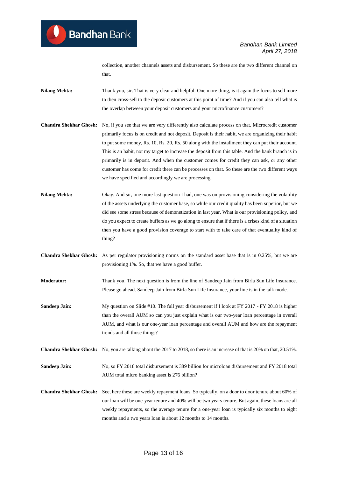collection, another channels assets and disbursement. So these are the two different channel on that.

- **Nilang Mehta:** Thank you, sir. That is very clear and helpful. One more thing, is it again the focus to sell more to then cross-sell to the deposit customers at this point of time? And if you can also tell what is the overlap between your deposit customers and your microfinance customers?
- **Chandra Shekhar Ghosh:** No, if you see that we are very differently also calculate process on that. Microcredit customer primarily focus is on credit and not deposit. Deposit is their habit, we are organizing their habit to put some money, Rs. 10, Rs. 20, Rs. 50 along with the installment they can put their account. This is an habit, not my target to increase the deposit from this table. And the bank branch is in primarily is in deposit. And when the customer comes for credit they can ask, or any other customer has come for credit there can be processes on that. So these are the two different ways we have specified and accordingly we are processing.
- **Nilang Mehta:** Okay. And sir, one more last question I had, one was on provisioning considering the volatility of the assets underlying the customer base, so while our credit quality has been superior, but we did see some stress because of demonetization in last year. What is our provisioning policy, and do you expect to create buffers as we go along to ensure that if there is a crises kind of a situation then you have a good provision coverage to start with to take care of that eventuality kind of thing?
- **Chandra Shekhar Ghosh:** As per regulator provisioning norms on the standard asset base that is in 0.25%, but we are provisioning 1%. So, that we have a good buffer.
- **Moderator:** Thank you. The next question is from the line of Sandeep Jain from Birla Sun Life Insurance. Please go ahead. Sandeep Jain from Birla Sun Life Insurance, your line is in the talk mode.
- **Sandeep Jain:** My question on Slide #10. The full year disbursement if I look at FY 2017 FY 2018 is higher than the overall AUM so can you just explain what is our two-year loan percentage in overall AUM, and what is our one-year loan percentage and overall AUM and how are the repayment trends and all those things?
- **Chandra Shekhar Ghosh:** No, you are talking about the 2017 to 2018, so there is an increase of that is 20% on that, 20.51%.
- **Sandeep Jain:** No, so FY 2018 total disbursement is 389 billion for microloan disbursement and FY 2018 total AUM total micro banking asset is 276 billion?
- **Chandra Shekhar Ghosh:** See, here these are weekly repayment loans. So typically, on a door to door tenure about 60% of our loan will be one-year tenure and 40% will be two years tenure. But again, these loans are all weekly repayments, so the average tenure for a one-year loan is typically six months to eight months and a two years loan is about 12 months to 14 months.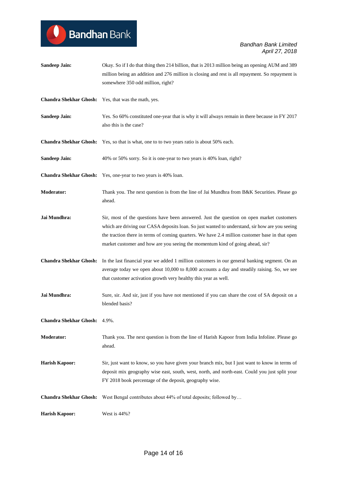**Sandeep Jain:** Okay. So if I do that thing then 214 billion, that is 2013 million being an opening AUM and 389 million being an addition and 276 million is closing and rest is all repayment. So repayment is somewhere 350 odd million, right? **Chandra Shekhar Ghosh:** Yes, that was the math, yes. **Sandeep Jain:** Yes. So 60% constituted one-year that is why it will always remain in there because in FY 2017 also this is the case? **Chandra Shekhar Ghosh:** Yes, so that is what, one to to two years ratio is about 50% each. **Sandeep Jain:** 40% or 50% sorry. So it is one-year to two years is 40% loan, right? **Chandra Shekhar Ghosh:** Yes, one-year to two years is 40% loan. **Moderator:** Thank you. The next question is from the line of Jai Mundhra from B&K Securities. Please go ahead. **Jai Mundhra:** Sir, most of the questions have been answered. Just the question on open market customers which are driving our CASA deposits loan. So just wanted to understand, sir how are you seeing the traction there in terms of coming quarters. We have 2.4 million customer base in that open market customer and how are you seeing the momentum kind of going ahead, sir? **Chandra Shekhar Ghosh:** In the last financial year we added 1 million customers in our general banking segment. On an average today we open about 10,000 to 8,000 accounts a day and steadily raising. So, we see that customer activation growth very healthy this year as well. **Jai Mundhra:** Sure, sir. And sir, just if you have not mentioned if you can share the cost of SA deposit on a blended basis? **Chandra Shekhar Ghosh:** 4.9%. **Moderator:** Thank you. The next question is from the line of Harish Kapoor from India Infoline. Please go ahead. **Harish Kapoor:** Sir, just want to know, so you have given your branch mix, but I just want to know in terms of deposit mix geography wise east, south, west, north, and north-east. Could you just split your FY 2018 book percentage of the deposit, geography wise. **Chandra Shekhar Ghosh:** West Bengal contributes about 44% of total deposits; followed by… **Harish Kapoor:** West is 44%?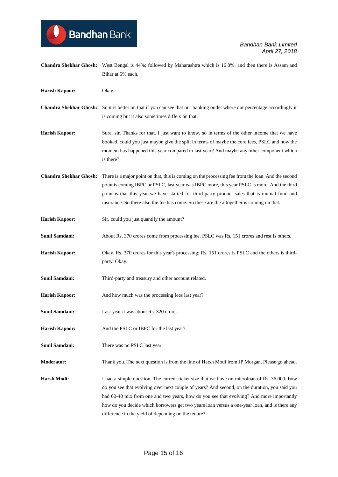- **Chandra Shekhar Ghosh:** West Bengal is 44%; followed by Maharashtra which is 16.8%, and then there is Assam and Bihar at 5% each. **Harish Kapoor:** Okay.
- **Chandra Shekhar Ghosh:** So it is better on that if you can see that our banking outlet where our percentage accordingly it is coming but it also sometimes differs on that.
- **Harish Kapoor:** Sure, sir. Thanks for that. I just want to know, so in terms of the other income that we have booked, could you just maybe give the split in terms of maybe the core fees, PSLC and how the moment has happened this year compared to last year? And maybe any other component which is there?
- **Chandra Shekhar Ghosh:** There is a major point on that, this is coming on the processing fee from the loan. And the second point is coming IBPC or PSLC, last year was IBPC more, this year PSLC is more. And the third point is that this year we have started for third-party product sales that is mutual fund and insurance. So there also the fee has come. So these are the altogether is coming on that.
- **Harish Kapoor:** Sir, could you just quantify the amount?

**Bandhan** Bank

- **Sunil Samdani:** About Rs. 370 crores come from processing fee. PSLC was Rs. 151 crores and rest is others.
- **Harish Kapoor:** Okay. Rs. 370 crores for this year's processing; Rs. 151 crores is PSLC and the others is thirdparty. Okay.
- **Sunil Samdani:** Third-party and treasury and other account related.
- **Harish Kapoor:** And how much was the processing fees last year?
- **Sunil Samdani:** Last year it was about Rs. 320 crores.
- **Harish Kapoor:** And the PSLC or IBPC for the last year?
- **Sunil Samdani:** There was no PSLC last year.

**Moderator:** Thank you. The next question is from the line of Harsh Modi from JP Morgan. Please go ahead.

**Harsh Modi:** I had a simple question. The current ticket size that we have on microloan of Rs. 36,000**, h**ow do you see that evolving over next couple of years? And second, on the duration, you said you had 60-40 mix from one and two years, how do you see that evolving? And more importantly how do you decide which borrowers get two years loan versus a one-year loan, and is there any difference in the yield of depending on the tenure?